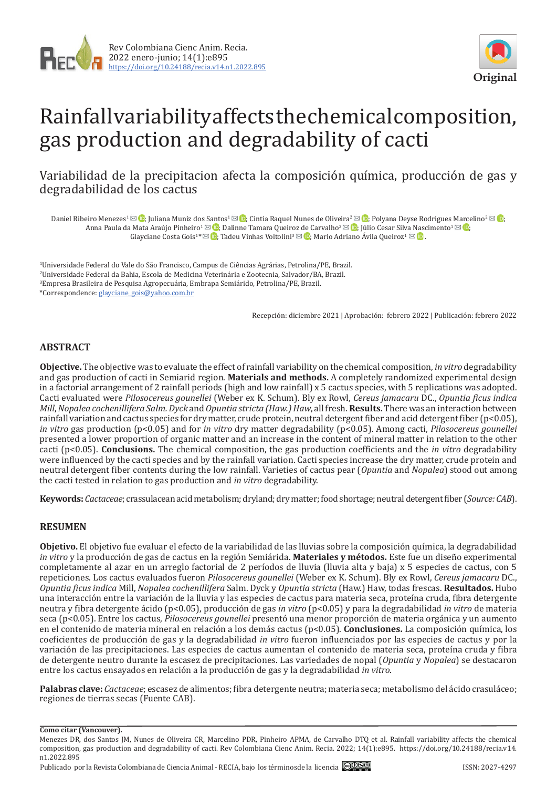



# Rainfall variability affects the chemical composition, gas production and degradability of cacti

Variabilidad de la precipitacion afecta la composición química, producción de gas y degradabilidad de los cactus

Daniel Ribeiro Menezes<sup>1</sup>  $\boxtimes$   $\textcircled{1}$ [;](https://orcid.org/0000-0002-4495-9294) Juliana Muniz dos Santos<sup>1</sup>  $\boxtimes$   $\textcircled{1}$ [;](https://orcid.org/0000-0002-8094-6765) Cintia Raquel Nunes de Oliveira<sup>2</sup>  $\boxtimes$   $\textcircled{2}$ ; Polyana Deyse Rodrigues Marcelino<sup>2</sup>  $\boxtimes$   $\textcircled{1}$ ; Anna Paula da Mata Araúj[o](mailto:glayciane_gois%40yahoo.com.br?subject=) Pinheiro<sup>[1](mailto:j_18_cesar%40hotmail.com?subject=) ⊠ (</sup>D[;](http://orcid.org/0000-0002-0148-1577) Dalinne Tamara Queiroz de Carvalho<sup>[2](mailto:dalinnetamara%40hotmail.com?subject=) ⊠ (</sup>D; Júlio Cesar Sil[va N](mailto:mario.queiroz%40univasf.edu.br?subject=)[asc](http://orcid.org/0000-0001-7677-5273)imento<sup>1 ⊠ (</sup>D; Glayciane Costa Gois<sup>1 \* [6]</sup>[;](http://orcid.org/0000-0001-8793-8103) Tadeu Vinhas Voltolini<sup>3</sup>  $\boxtimes$  **[6]**; Mario Adriano Ávila Queiroz<sup>1</sup>  $\boxtimes$  **[6**].

 Universidade Federal do Vale do São Francisco, Campus de Ciências Agrárias, Petrolina/PE, Brazil. Universidade Federal da Bahia, Escola de Medicina Veterinária e Zootecnia, Salvador/BA, Brazil. Empresa Brasileira de Pesquisa Agropecuária, Embrapa Semiárido, Petrolina/PE, Brazil. \*Correspondence: [glayciane\\_gois@yahoo.com.br](mailto:glayciane_gois@yahoo.com.br)

Recepción: diciembre 2021 | Aprobación: febrero 2022 | Publicación: febrero 2022

## **ABSTRACT**

**Objective.** The objective was to evaluate the effect of rainfall variability on the chemical composition, *in vitro* degradability and gas production of cacti in Semiarid region. **Materials and methods.** A completely randomized experimental design in a factorial arrangement of 2 rainfall periods (high and low rainfall) x 5 cactus species, with 5 replications was adopted. Cacti evaluated were *Pilosocereus gounellei* (Weber ex K. Schum). Bly ex Rowl, *Cereus jamacaru* DC., *Opuntia ficus indica Mill*, *Nopalea cochenillifera Salm. Dyck* and *Opuntia stricta (Haw.) Haw*, all fresh. **Results.** There was an interaction between rainfall variation and cactus species for dry matter, crude protein, neutral detergent fiber and acid detergent fiber (p<0.05), *in vitro* gas production (p<0.05) and for *in vitro* dry matter degradability (p<0.05). Among cacti, *Pilosocereus gounellei* presented a lower proportion of organic matter and an increase in the content of mineral matter in relation to the other cacti (p<0.05). **Conclusions.** The chemical composition, the gas production coefficients and the *in vitro* degradability were influenced by the cacti species and by the rainfall variation. Cacti species increase the dry matter, crude protein and neutral detergent fiber contents during the low rainfall. Varieties of cactus pear (*Opuntia* and *Nopalea*) stood out among the cacti tested in relation to gas production and *in vitro* degradability.

**Keywords:** *Cactaceae*; crassulacean acid metabolism; dryland; dry matter; food shortage; neutral detergent fiber (*Source: CAB*).

## **RESUMEN**

**Objetivo.** El objetivo fue evaluar el efecto de la variabilidad de las lluvias sobre la composición química, la degradabilidad *in vitro* y la producción de gas de cactus en la región Semiárida. **Materiales y métodos.** Este fue un diseño experimental completamente al azar en un arreglo factorial de 2 períodos de lluvia (lluvia alta y baja) x 5 especies de cactus, con 5 repeticiones. Los cactus evaluados fueron *Pilosocereus gounellei* (Weber ex K. Schum). Bly ex Rowl, *Cereus jamacaru* DC., *Opuntia ficus indica* Mill, *Nopalea cochenillifera* Salm. Dyck y *Opuntia stricta* (Haw.) Haw, todas frescas. **Resultados.** Hubo una interacción entre la variación de la lluvia y las especies de cactus para materia seca, proteína cruda, fibra detergente neutra y fibra detergente ácido (p<0.05), producción de gas *in vitro* (p<0.05) y para la degradabilidad *in vitro* de materia seca (p<0.05). Entre los cactus, *Pilosocereus gounellei* presentó una menor proporción de materia orgánica y un aumento en el contenido de materia mineral en relación a los demás cactus (p<0.05). **Conclusiones.** La composición química, los coeficientes de producción de gas y la degradabilidad *in vitro* fueron influenciados por las especies de cactus y por la variación de las precipitaciones. Las especies de cactus aumentan el contenido de materia seca, proteína cruda y fibra de detergente neutro durante la escasez de precipitaciones. Las variedades de nopal (*Opuntia* y *Nopalea*) se destacaron entre los cactus ensayados en relación a la producción de gas y la degradabilidad *in vitro*.

**Palabras clave:** *Cactaceae*; escasez de alimentos; fibra detergente neutra; materia seca; metabolismo del ácido crasuláceo; regiones de tierras secas (Fuente CAB).

#### **Como citar (Vancouver).**

Menezes DR, dos Santos JM, Nunes de Oliveira CR, Marcelino PDR, Pinheiro APMA, de Carvalho DTQ et al. Rainfall variability affects the chemical composition, gas production and degradability of cacti. Rev Colombiana Cienc Anim. Recia. 2022; 14(1):e895. [https://doi.org/10.24188/recia.v14.](https://doi.org/10.24188/recia.v14.n1.2022.895) [n1.2022.](https://doi.org/10.24188/recia.v14.n1.2022.895)895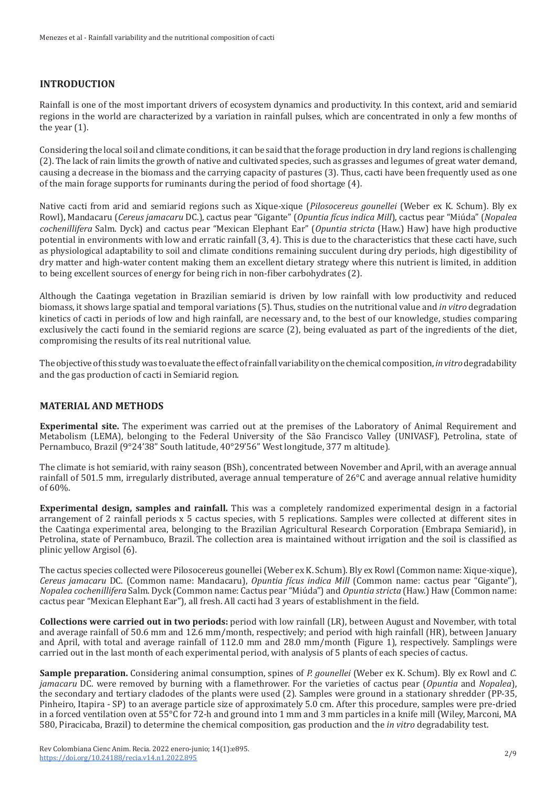## **INTRODUCTION**

Rainfall is one of the most important drivers of ecosystem dynamics and productivity. In this context, arid and semiarid regions in the world are characterized by a variation in rainfall pulses, which are concentrated in only a few months of the year  $(1)$ .

Considering the local soil and climate conditions, it can be said that the forage production in dry land regions is challenging (2). The lack of rain limits the growth of native and cultivated species, such as grasses and legumes of great water demand, causing a decrease in the biomass and the carrying capacity of pastures (3). Thus, cacti have been frequently used as one of the main forage supports for ruminants during the period of food shortage (4).

Native cacti from arid and semiarid regions such as Xique-xique (*Pilosocereus gounellei* (Weber ex K. Schum). Bly ex Rowl), Mandacaru (*Cereus jamacaru* DC.), cactus pear "Gigante" (*Opuntia fícus indica Mill*), cactus pear "Miúda" (*Nopalea cochenillifera* Salm. Dyck) and cactus pear "Mexican Elephant Ear" (*Opuntia stricta* (Haw.) Haw) have high productive potential in environments with low and erratic rainfall (3, 4). This is due to the characteristics that these cacti have, such as physiological adaptability to soil and climate conditions remaining succulent during dry periods, high digestibility of dry matter and high-water content making them an excellent dietary strategy where this nutrient is limited, in addition to being excellent sources of energy for being rich in non-fiber carbohydrates (2).

Although the Caatinga vegetation in Brazilian semiarid is driven by low rainfall with low productivity and reduced biomass, it shows large spatial and temporal variations (5). Thus, studies on the nutritional value and *in vitro* degradation kinetics of cacti in periods of low and high rainfall, are necessary and, to the best of our knowledge, studies comparing exclusively the cacti found in the semiarid regions are scarce (2), being evaluated as part of the ingredients of the diet, compromising the results of its real nutritional value.

The objective of this study was to evaluate the effect of rainfall variability on the chemical composition, *in vitro* degradability and the gas production of cacti in Semiarid region.

## **MATERIAL AND METHODS**

**Experimental site.** The experiment was carried out at the premises of the Laboratory of Animal Requirement and Metabolism (LEMA), belonging to the Federal University of the São Francisco Valley (UNIVASF), Petrolina, state of Pernambuco, Brazil (9°24'38" South latitude, 40°29'56" West longitude, 377 m altitude).

The climate is hot semiarid, with rainy season (BSh), concentrated between November and April, with an average annual rainfall of 501.5 mm, irregularly distributed, average annual temperature of 26°C and average annual relative humidity of 60%.

**Experimental design, samples and rainfall.** This was a completely randomized experimental design in a factorial arrangement of 2 rainfall periods x 5 cactus species, with 5 replications. Samples were collected at different sites in the Caatinga experimental area, belonging to the Brazilian Agricultural Research Corporation (Embrapa Semiarid), in Petrolina, state of Pernambuco, Brazil. The collection area is maintained without irrigation and the soil is classified as plinic yellow Argisol (6).

The cactus species collected were Pilosocereus gounellei (Weber ex K. Schum). Bly ex Rowl (Common name: Xique-xique), *Cereus jamacaru* DC. (Common name: Mandacaru), *Opuntia fícus indica Mill* (Common name: cactus pear "Gigante"), *Nopalea cochenillifera* Salm. Dyck (Common name: Cactus pear "Miúda") and *Opuntia stricta* (Haw.) Haw (Common name: cactus pear "Mexican Elephant Ear"), all fresh. All cacti had 3 years of establishment in the field.

**Collections were carried out in two periods:** period with low rainfall (LR), between August and November, with total and average rainfall of 50.6 mm and 12.6 mm/month, respectively; and period with high rainfall (HR), between January and April, with total and average rainfall of 112.0 mm and 28.0 mm/month (Figure 1), respectively. Samplings were carried out in the last month of each experimental period, with analysis of 5 plants of each species of cactus.

**Sample preparation.** Considering animal consumption, spines of *P. gounellei* (Weber ex K. Schum). Bly ex Rowl and *C. jamacaru* DC. were removed by burning with a flamethrower. For the varieties of cactus pear (*Opuntia* and *Nopalea*), the secondary and tertiary cladodes of the plants were used (2). Samples were ground in a stationary shredder (PP-35, Pinheiro, Itapira - SP) to an average particle size of approximately 5.0 cm. After this procedure, samples were pre-dried in a forced ventilation oven at 55°C for 72-h and ground into 1 mm and 3 mm particles in a knife mill (Wiley, Marconi, MA 580, Piracicaba, Brazil) to determine the chemical composition, gas production and the *in vitro* degradability test.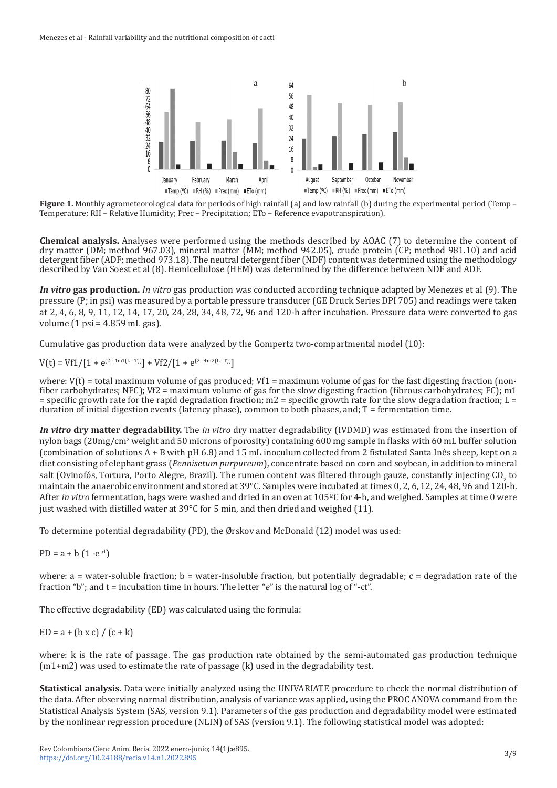

**Figure 1.** Monthly agrometeorological data for periods of high rainfall (a) and low rainfall (b) during the experimental period (Temp – Temperature; RH – Relative Humidity; Prec – Precipitation; ETo – Reference evapotranspiration).

**Chemical analysis.** Analyses were performed using the methods described by AOAC (7) to determine the content of dry matter (DM; method 967.03), mineral matter (MM; method 942.05), crude protein (CP; method 981.10) and acid detergent fiber (ADF; method 973.18). The neutral detergent fiber (NDF) content was determined using the methodology described by Van Soest et al (8). Hemicellulose (HEM) was determined by the difference between NDF and ADF.

*In vitro* **gas production.** *In vitro* gas production was conducted according technique adapted by Menezes et al (9). The pressure (P; in psi) was measured by a portable pressure transducer (GE Druck Series DPI 705) and readings were taken at 2, 4, 6, 8, 9, 11, 12, 14, 17, 20, 24, 28, 34, 48, 72, 96 and 120-h after incubation. Pressure data were converted to gas volume  $(1 \text{ psi} = 4.859 \text{ mL gas})$ .

Cumulative gas production data were analyzed by the Gompertz two-compartmental model (10):

 $V(t) = Vf1/[1 + e^{(2.4m1(L-T))}]+ Vf2/[1 + e^{(2.4m2(L-T))}]$ 

where:  $V(t)$  = total maximum volume of gas produced;  $Vf1$  = maximum volume of gas for the fast digesting fraction (nonfiber carbohydrates; NFC); Vf2 = maximum volume of gas for the slow digesting fraction (fibrous carbohydrates; FC); m1  $=$  specific growth rate for the rapid degradation fraction; m2  $=$  specific growth rate for the slow degradation fraction; L $=$ duration of initial digestion events (latency phase), common to both phases, and; T = fermentation time.

*In vitro* **dry matter degradability.** The *in vitro* dry matter degradability (IVDMD) was estimated from the insertion of nylon bags (20mg/cm<sup>2</sup> weight and 50 microns of porosity) containing 600 mg sample in flasks with 60 mL buffer solution (combination of solutions A + B with pH 6.8) and 15 mL inoculum collected from 2 fistulated Santa Inês sheep, kept on a diet consisting of elephant grass (*Pennisetum purpureum*), concentrate based on corn and soybean, in addition to mineral salt (Ovinofós, Tortura, Porto Alegre, Brazil). The rumen content was filtered through gauze, constantly injecting CO<sub>2</sub> to maintain the anaerobic environment and stored at  $39^{\circ}$ C. Samples were incubated at times 0, 2, 6, 12, 24, 48, 96 and 120-h. After *in vitro* fermentation, bags were washed and dried in an oven at 105ºC for 4-h, and weighed. Samples at time 0 were just washed with distilled water at 39°C for 5 min, and then dried and weighed (11).

To determine potential degradability (PD), the Ørskov and McDonald (12) model was used:

 $PD = a + b (1 - e^{-ct})$ 

where:  $a = water-soluble fraction$ ;  $b = water-insoluble fraction$ , but potentially degradable;  $c = degradation rate$  of the fraction "b"; and t = incubation time in hours. The letter "*e*" is the natural log of "-ct".

The effective degradability (ED) was calculated using the formula:

 $ED = a + (b \times c) / (c + k)$ 

where: k is the rate of passage. The gas production rate obtained by the semi-automated gas production technique  $(m1+m2)$  was used to estimate the rate of passage  $(k)$  used in the degradability test.

**Statistical analysis.** Data were initially analyzed using the UNIVARIATE procedure to check the normal distribution of the data. After observing normal distribution, analysis of variance was applied, using the PROC ANOVA command from the Statistical Analysis System (SAS, version 9.1). Parameters of the gas production and degradability model were estimated by the nonlinear regression procedure (NLIN) of SAS (version 9.1). The following statistical model was adopted: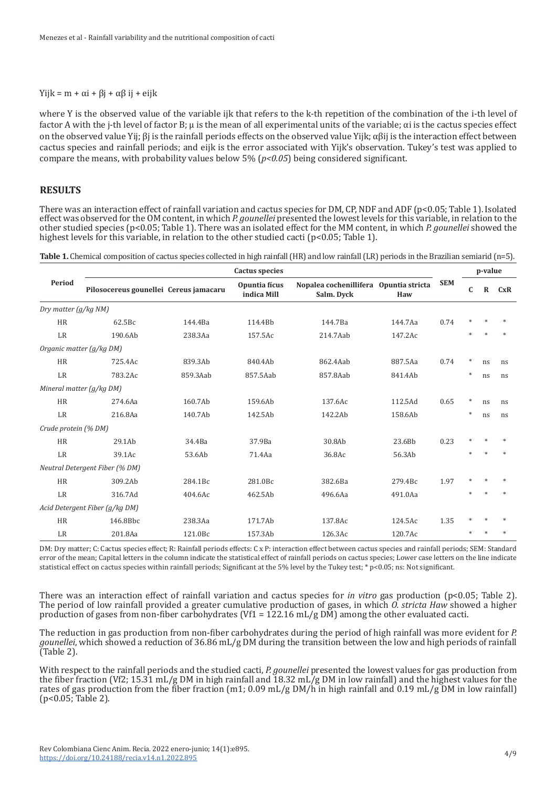#### Yijk = m + αi + βj + αβ ij + eijk

where Y is the observed value of the variable ijk that refers to the k-th repetition of the combination of the i-th level of factor A with the j-th level of factor B; μ is the mean of all experimental units of the variable; αi is the cactus species effect on the observed value Yij; βj is the rainfall periods effects on the observed value Yijk;  $\alpha\beta$ ij is the interaction effect between cactus species and rainfall periods; and eijk is the error associated with Yijk's observation. Tukey's test was applied to compare the means, with probability values below 5% (*p<0.05*) being considered significant.

## **RESULTS**

There was an interaction effect of rainfall variation and cactus species for DM, CP, NDF and ADF (p<0.05; Table 1). Isolated effect was observed for the OM content, in which *P. gounellei* presented the lowest levels for this variable, in relation to the other studied species (p<0.05; Table 1). There was an isolated effect for the MM content, in which *P. gounellei* showed the highest levels for this variable, in relation to the other studied cacti (p<0.05; Table 1).

| Table 1. Chemical composition of cactus species collected in high rainfall (HR) and low rainfall (LR) periods in the Brazilian semiarid (n=5). |  |
|------------------------------------------------------------------------------------------------------------------------------------------------|--|
|------------------------------------------------------------------------------------------------------------------------------------------------|--|

| Period                   | <b>Cactus</b> species                  |          |                              |                                                      |         |            | p-value     |             |     |
|--------------------------|----------------------------------------|----------|------------------------------|------------------------------------------------------|---------|------------|-------------|-------------|-----|
|                          | Pilosocereus gounellei Cereus jamacaru |          | Opuntia fícus<br>indica Mill | Nopalea cochenillifera Opuntia stricta<br>Salm. Dyck | Haw     | <b>SEM</b> | $\mathbf C$ | $\mathbf R$ | CxR |
| Dry matter (g/kg NM)     |                                        |          |                              |                                                      |         |            |             |             |     |
| <b>HR</b>                | 62.5Bc                                 | 144.4Ba  | 114.4Bb                      | 144.7Ba                                              | 144.7Aa | 0.74       | *           |             |     |
| LR                       | 190.6Ab                                | 238.3Aa  | 157.5Ac                      | 214.7Aab                                             | 147.2Ac |            | sk.         |             |     |
| Organic matter (g/kg DM) |                                        |          |                              |                                                      |         |            |             |             |     |
| <b>HR</b>                | 725.4Ac                                | 839.3Ab  | 840.4Ab                      | 862.4Aab                                             | 887.5Aa | 0.74       | $\ast$      | ns          | ns  |
| LR                       | 783.2Ac                                | 859.3Aab | 857.5Aab                     | 857.8Aab                                             | 841.4Ab |            | $\ast$      | ns          | ns  |
| Mineral matter (g/kg DM) |                                        |          |                              |                                                      |         |            |             |             |     |
| <b>HR</b>                | 274.6Aa                                | 160.7Ab  | 159.6Ab                      | 137.6Ac                                              | 112.5Ad | 0.65       | $\ast$      | ns          | ns  |
| LR                       | 216.8Aa                                | 140.7Ab  | 142.5Ab                      | 142.2Ab                                              | 158.6Ab |            | $\ast$      | ns          | ns  |
| Crude protein (% DM)     |                                        |          |                              |                                                      |         |            |             |             |     |
| <b>HR</b>                | 29.1Ab                                 | 34.4Ba   | 37.9Ba                       | 30.8Ab                                               | 23.6Bb  | 0.23       | *           |             |     |
| LR                       | 39.1Ac                                 | 53.6Ab   | 71.4Aa                       | 36.8Ac                                               | 56.3Ab  |            | sk.         |             |     |
|                          | Neutral Detergent Fiber (% DM)         |          |                              |                                                      |         |            |             |             |     |
| <b>HR</b>                | 309.2Ab                                | 284.1Bc  | 281.0Bc                      | 382.6Ba                                              | 279.4Bc | 1.97       |             |             |     |
| LR                       | 316.7Ad                                | 404.6Ac  | 462.5Ab                      | 496.6Aa                                              | 491.0Aa |            |             |             |     |
|                          | Acid Detergent Fiber (g/kg DM)         |          |                              |                                                      |         |            |             |             |     |
| <b>HR</b>                | 146.8Bbc                               | 238.3Aa  | 171.7Ab                      | 137.8Ac                                              | 124.5Ac | 1.35       |             |             |     |
| LR                       | 201.8Aa                                | 121.0Bc  | 157.3Ab                      | 126.3Ac                                              | 120.7Ac |            |             |             |     |

DM: Dry matter; C: Cactus species effect; R: Rainfall periods effects: C x P: interaction effect between cactus species and rainfall periods; SEM: Standard error of the mean; Capital letters in the column indicate the statistical effect of rainfall periods on cactus species; Lower case letters on the line indicate statistical effect on cactus species within rainfall periods; Significant at the 5% level by the Tukey test; \* p<0.05; ns: Not significant.

There was an interaction effect of rainfall variation and cactus species for *in vitro* gas production (p<0.05; Table 2). The period of low rainfall provided a greater cumulative production of gases, in which *O. stricta Haw* showed a higher production of gases from non-fiber carbohydrates (Vf1 = 122.16 mL/g DM) among the other evaluated cacti.

The reduction in gas production from non-fiber carbohydrates during the period of high rainfall was more evident for *P. gounellei*, which showed a reduction of 36.86 mL/g DM during the transition between the low and high periods of rainfall (Table 2).

With respect to the rainfall periods and the studied cacti, *P. gounellei* presented the lowest values for gas production from the fiber fraction (Vf2; 15.31 mL/g DM in high rainfall and 18.32 mL/g DM in low rainfall) and the highest values for the rates of gas production from the fiber fraction (m1; 0.09 mL/g DM/h in high rainfall and 0.19 mL/g DM in low rainfall) (p<0.05; Table 2).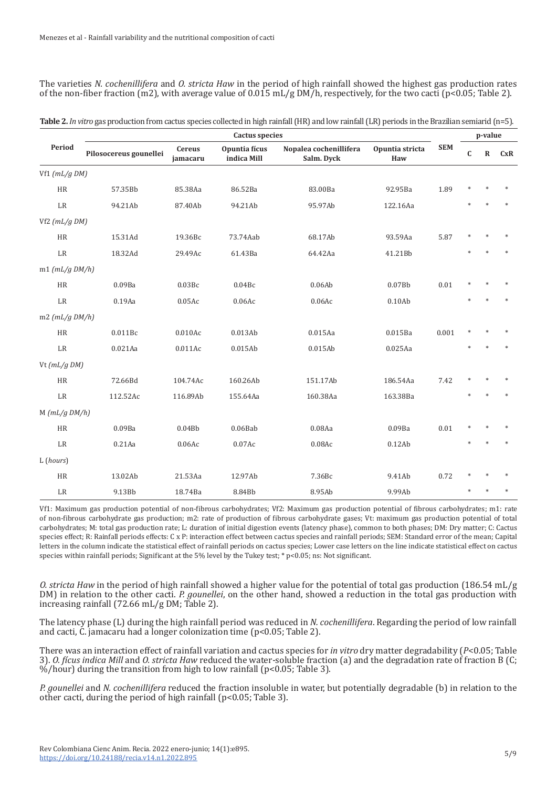The varieties *N. cochenillifera* and *O. stricta Haw* in the period of high rainfall showed the highest gas production rates of the non-fiber fraction (m2), with average value of  $0.015$  mL/g DM/h, respectively, for the two cacti (p<0.05; Table 2).

| Period                 | <b>Cactus species</b>  |                           |                              |                                      |                        |            | p-value     |              |        |  |
|------------------------|------------------------|---------------------------|------------------------------|--------------------------------------|------------------------|------------|-------------|--------------|--------|--|
|                        | Pilosocereus gounellei | <b>Cereus</b><br>jamacaru | Opuntia fícus<br>indica Mill | Nopalea cochenillifera<br>Salm. Dyck | Opuntia stricta<br>Haw | <b>SEM</b> | $\mathbf C$ | $\mathbf{R}$ | CxR    |  |
| Vf1 $(mL/gDM)$         |                        |                           |                              |                                      |                        |            |             |              |        |  |
| HR                     | 57.35Bb                | 85.38Aa                   | 86.52Ba                      | 83.00Ba                              | 92.95Ba                | 1.89       |             |              |        |  |
| LR                     | 94.21Ab                | 87.40Ab                   | 94.21Ab                      | 95.97Ab                              | 122.16Aa               |            |             |              |        |  |
| Vf2 $(mL/g DM)$        |                        |                           |                              |                                      |                        |            |             |              |        |  |
| HR                     | 15.31Ad                | 19.36Bc                   | 73.74Aab                     | 68.17Ab                              | 93.59Aa                | 5.87       |             |              |        |  |
| LR                     | 18.32Ad                | 29.49Ac                   | 61.43Ba                      | 64.42Aa                              | 41.21Bb                |            |             |              |        |  |
| $m1$ ( $mL/g$ $DM/h$ ) |                        |                           |                              |                                      |                        |            |             |              |        |  |
| <b>HR</b>              | 0.09Ba                 | 0.03Bc                    | 0.04Bc                       | 0.06Ab                               | 0.07Bb                 | 0.01       |             |              |        |  |
| LR                     | 0.19Aa                 | $0.05$ Ac                 | 0.06Ac                       | 0.06Ac                               | 0.10Ab                 |            |             |              | $\ast$ |  |
| $m2$ ( $mL/g$ $DM/h$ ) |                        |                           |                              |                                      |                        |            |             |              |        |  |
| HR                     | 0.011Bc                | 0.010Ac                   | 0.013Ab                      | 0.015Aa                              | 0.015Ba                | 0.001      |             |              |        |  |
| LR                     | $0.021$ Aa             | 0.011Ac                   | 0.015Ab                      | 0.015Ab                              | $0.025$ Aa             |            |             |              |        |  |
| Vt $(mL/q DM)$         |                        |                           |                              |                                      |                        |            |             |              |        |  |
| HR                     | 72.66Bd                | 104.74Ac                  | 160.26Ab                     | 151.17Ab                             | 186.54Aa               | 7.42       | $\ast$      |              |        |  |
| $\rm LR$               | 112.52Ac               | 116.89Ab                  | 155.64Aa                     | 160.38Aa                             | 163.38Ba               |            |             |              |        |  |
| $M$ ( $mL/g$ $DM/h$ )  |                        |                           |                              |                                      |                        |            |             |              |        |  |
| HR                     | 0.09Ba                 | 0.04Bb                    | $0.06$ Bab                   | 0.08Aa                               | 0.09Ba                 | 0.01       |             |              |        |  |
| $\rm LR$               | $0.21$ Aa              | 0.06Ac                    | $0.07$ Ac                    | $0.08$ Ac                            | 0.12Ab                 |            |             |              |        |  |
| L (hours)              |                        |                           |                              |                                      |                        |            |             |              |        |  |
| HR                     | 13.02Ab                | 21.53Aa                   | 12.97Ab                      | 7.36Bc                               | 9.41Ab                 | 0.72       |             |              |        |  |
| LR                     | 9.13Bb                 | 18.74Ba                   | 8.84Bb                       | 8.95Ab                               | 9.99Ab                 |            |             |              |        |  |

| Table 2. In vitro gas production from cactus species collected in high rainfall (HR) and low rainfall (LR) periods in the Brazilian semiarid (n=5). |  |  |
|-----------------------------------------------------------------------------------------------------------------------------------------------------|--|--|
|-----------------------------------------------------------------------------------------------------------------------------------------------------|--|--|

Vf1: Maximum gas production potential of non-fibrous carbohydrates; Vf2: Maximum gas production potential of fibrous carbohydrates; m1: rate of non-fibrous carbohydrate gas production; m2: rate of production of fibrous carbohydrate gases; Vt: maximum gas production potential of total carbohydrates; M: total gas production rate; L: duration of initial digestion events (latency phase), common to both phases; DM: Dry matter; C: Cactus species effect; R: Rainfall periods effects: C x P: interaction effect between cactus species and rainfall periods; SEM: Standard error of the mean; Capital letters in the column indicate the statistical effect of rainfall periods on cactus species; Lower case letters on the line indicate statistical effect on cactus species within rainfall periods; Significant at the 5% level by the Tukey test; \* p<0.05; ns: Not significant.

*O. stricta Haw* in the period of high rainfall showed a higher value for the potential of total gas production (186.54 mL/g DM) in relation to the other cacti. *P. gounellei*, on the other hand, showed a reduction in the total gas production with increasing rainfall (72.66 mL/g DM; Table 2).

The latency phase (L) during the high rainfall period was reduced in *N. cochenillifera*. Regarding the period of low rainfall and cacti, C. jamacaru had a longer colonization time (p<0.05; Table 2).

There was an interaction effect of rainfall variation and cactus species for *in vitro* dry matter degradability (*P*<0.05; Table 3). *O. fícus indica Mill* and *O. stricta Haw* reduced the water-soluble fraction (a) and the degradation rate of fraction B (C; %/hour) during the transition from high to low rainfall ( $p$ <0.05; Table 3).

*P. gounellei* and *N. cochenillifera* reduced the fraction insoluble in water, but potentially degradable (b) in relation to the other cacti, during the period of high rainfall (p<0.05; Table 3).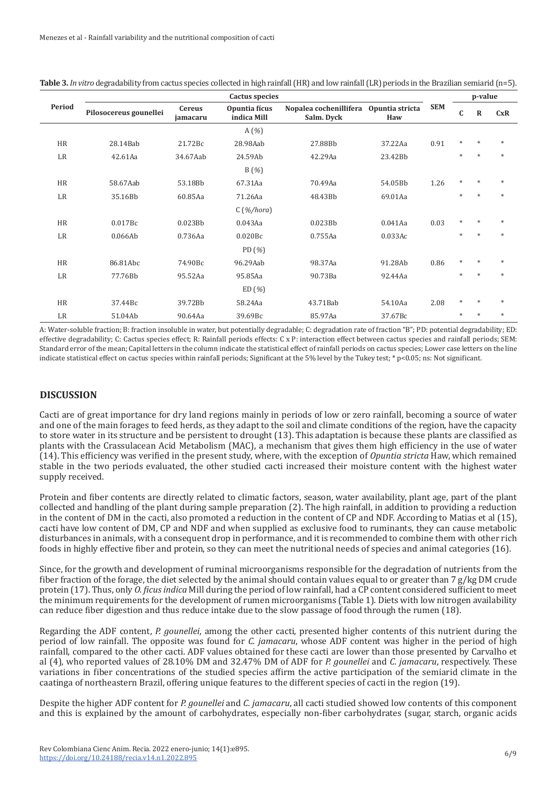|           | <b>Cactus species</b>  |                    |                              |                                      |                        |            | p-value |             |        |
|-----------|------------------------|--------------------|------------------------------|--------------------------------------|------------------------|------------|---------|-------------|--------|
| Period    | Pilosocereus gounellei | Cereus<br>jamacaru | Opuntia fícus<br>indica Mill | Nopalea cochenillifera<br>Salm. Dyck | Opuntia stricta<br>Haw | <b>SEM</b> | C       | $\mathbf R$ | CxR    |
|           |                        |                    | A(%)                         |                                      |                        |            |         |             |        |
| <b>HR</b> | 28.14Bab               | 21.72Bc            | 28.98Aab                     | 27.88Bb                              | 37.22Aa                | 0.91       | $*$     | $*$         | $\ast$ |
| LR        | 42.61Aa                | 34.67Aab           | 24.59Ab                      | 42.29Aa                              | 23.42Bb                |            | $\ast$  | $\star$     | $\ast$ |
|           |                        |                    | $B($ %)                      |                                      |                        |            |         |             |        |
| <b>HR</b> | 58.67Aab               | 53.18Bb            | 67.31Aa                      | 70.49Aa                              | 54.05Bb                | 1.26       | $\ast$  | $\ast$      | $\ast$ |
| LR        | 35.16Bb                | 60.85Aa            | 71.26Aa                      | 48.43Bb                              | 69.01Aa                |            | $\ast$  | $\ast$      | $\ast$ |
|           |                        |                    | $C($ %/hora)                 |                                      |                        |            |         |             |        |
| <b>HR</b> | 0.017Bc                | 0.023Bb            | 0.043Aa                      | 0.023Bb                              | $0.041$ Aa             | 0.03       | $*$     | $\ast$      | $\ast$ |
| LR        | 0.066Ab                | 0.736Aa            | 0.020Bc                      | 0.755Aa                              | 0.033Ac                |            | $*$     | $\ast$      | $\ast$ |
|           |                        |                    | PD $(\% )$                   |                                      |                        |            |         |             |        |
| <b>HR</b> | 86.81Abc               | 74.90Bc            | 96.29Aab                     | 98.37Aa                              | 91.28Ab                | 0.86       | $\ast$  | $\ast$      | $\ast$ |
| LR        | 77.76Bb                | 95.52Aa            | 95.85Aa                      | 90.73Ba                              | 92.44Aa                |            | $\ast$  |             | $\ast$ |
|           |                        |                    | ED(%)                        |                                      |                        |            |         |             |        |
| <b>HR</b> | 37.44Bc                | 39.72Bb            | 58.24Aa                      | 43.71Bab                             | 54.10Aa                | 2.08       | $*$     | $\ast$      | $\ast$ |
| LR        | 51.04Ab                | 90.64Aa            | 39.69Bc                      | 85.97Aa                              | 37.67Bc                |            | *       |             | $\ast$ |

**Table 3.** *In vitro* degradability from cactus species collected in high rainfall (HR) and low rainfall (LR) periods in the Brazilian semiarid (n=5).

A: Water-soluble fraction; B: fraction insoluble in water, but potentially degradable; C: degradation rate of fraction "B"; PD: potential degradability; ED: effective degradability; C: Cactus species effect; R: Rainfall periods effects: C x P: interaction effect between cactus species and rainfall periods; SEM: Standard error of the mean; Capital letters in the column indicate the statistical effect of rainfall periods on cactus species; Lower case letters on the line indicate statistical effect on cactus species within rainfall periods; Significant at the 5% level by the Tukey test; \* p<0.05; ns: Not significant.

## **DISCUSSION**

Cacti are of great importance for dry land regions mainly in periods of low or zero rainfall, becoming a source of water and one of the main forages to feed herds, as they adapt to the soil and climate conditions of the region, have the capacity to store water in its structure and be persistent to drought (13). This adaptation is because these plants are classified as plants with the Crassulacean Acid Metabolism (MAC), a mechanism that gives them high efficiency in the use of water (14). This efficiency was verified in the present study, where, with the exception of *Opuntia stricta* Haw, which remained stable in the two periods evaluated, the other studied cacti increased their moisture content with the highest water supply received.

Protein and fiber contents are directly related to climatic factors, season, water availability, plant age, part of the plant collected and handling of the plant during sample preparation (2). The high rainfall, in addition to providing a reduction in the content of DM in the cacti, also promoted a reduction in the content of CP and NDF. According to Matias et al (15), cacti have low content of DM, CP and NDF and when supplied as exclusive food to ruminants, they can cause metabolic disturbances in animals, with a consequent drop in performance, and it is recommended to combine them with other rich foods in highly effective fiber and protein, so they can meet the nutritional needs of species and animal categories (16).

Since, for the growth and development of ruminal microorganisms responsible for the degradation of nutrients from the fiber fraction of the forage, the diet selected by the animal should contain values equal to or greater than 7 g/kg DM crude protein (17). Thus, only *O. ficus indica* Mill during the period of low rainfall, had a CP content considered sufficient to meet the minimum requirements for the development of rumen microorganisms (Table 1). Diets with low nitrogen availability can reduce fiber digestion and thus reduce intake due to the slow passage of food through the rumen (18).

Regarding the ADF content, *P. gounellei*, among the other cacti, presented higher contents of this nutrient during the period of low rainfall. The opposite was found for *C. jamacaru*, whose ADF content was higher in the period of high rainfall, compared to the other cacti. ADF values obtained for these cacti are lower than those presented by Carvalho et al (4), who reported values of 28.10% DM and 32.47% DM of ADF for *P. gounellei* and *C. jamacaru*, respectively. These variations in fiber concentrations of the studied species affirm the active participation of the semiarid climate in the caatinga of northeastern Brazil, offering unique features to the different species of cacti in the region (19).

Despite the higher ADF content for *P. gounellei* and *C. jamacaru*, all cacti studied showed low contents of this component and this is explained by the amount of carbohydrates, especially non-fiber carbohydrates (sugar, starch, organic acids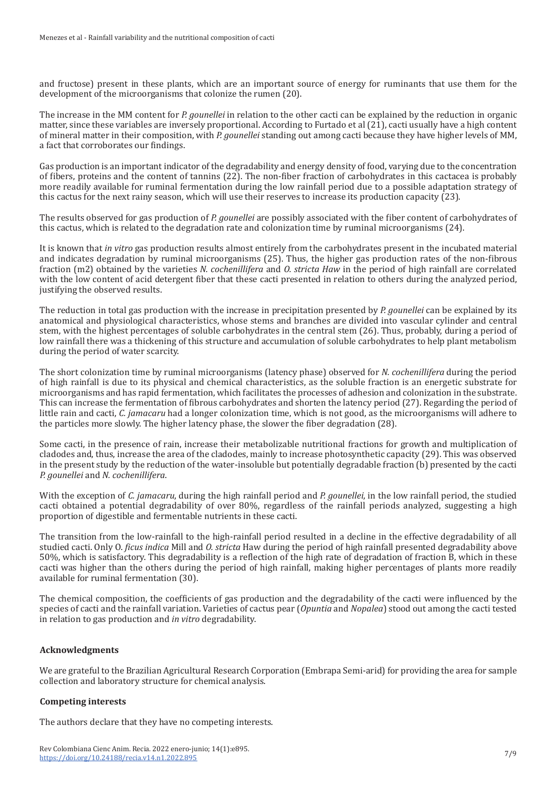and fructose) present in these plants, which are an important source of energy for ruminants that use them for the development of the microorganisms that colonize the rumen (20).

The increase in the MM content for *P. gounellei* in relation to the other cacti can be explained by the reduction in organic matter, since these variables are inversely proportional. According to Furtado et al (21), cacti usually have a high content of mineral matter in their composition, with *P. gounellei* standing out among cacti because they have higher levels of MM, a fact that corroborates our findings.

Gas production is an important indicator of the degradability and energy density of food, varying due to the concentration of fibers, proteins and the content of tannins (22). The non-fiber fraction of carbohydrates in this cactacea is probably more readily available for ruminal fermentation during the low rainfall period due to a possible adaptation strategy of this cactus for the next rainy season, which will use their reserves to increase its production capacity (23).

The results observed for gas production of *P. gounellei* are possibly associated with the fiber content of carbohydrates of this cactus, which is related to the degradation rate and colonization time by ruminal microorganisms (24).

It is known that *in vitro* gas production results almost entirely from the carbohydrates present in the incubated material and indicates degradation by ruminal microorganisms (25). Thus, the higher gas production rates of the non-fibrous fraction (m2) obtained by the varieties *N. cochenillifera* and *O. stricta Haw* in the period of high rainfall are correlated with the low content of acid detergent fiber that these cacti presented in relation to others during the analyzed period, justifying the observed results.

The reduction in total gas production with the increase in precipitation presented by *P. gounellei* can be explained by its anatomical and physiological characteristics, whose stems and branches are divided into vascular cylinder and central stem, with the highest percentages of soluble carbohydrates in the central stem (26). Thus, probably, during a period of low rainfall there was a thickening of this structure and accumulation of soluble carbohydrates to help plant metabolism during the period of water scarcity.

The short colonization time by ruminal microorganisms (latency phase) observed for *N. cochenillifera* during the period of high rainfall is due to its physical and chemical characteristics, as the soluble fraction is an energetic substrate for microorganisms and has rapid fermentation, which facilitates the processes of adhesion and colonization in the substrate. This can increase the fermentation of fibrous carbohydrates and shorten the latency period (27). Regarding the period of little rain and cacti, *C. jamacaru* had a longer colonization time, which is not good, as the microorganisms will adhere to the particles more slowly. The higher latency phase, the slower the fiber degradation (28).

Some cacti, in the presence of rain, increase their metabolizable nutritional fractions for growth and multiplication of cladodes and, thus, increase the area of the cladodes, mainly to increase photosynthetic capacity (29). This was observed in the present study by the reduction of the water-insoluble but potentially degradable fraction (b) presented by the cacti *P. gounellei* and *N. cochenillifera*.

With the exception of *C. jamacaru*, during the high rainfall period and *P. gounellei*, in the low rainfall period, the studied cacti obtained a potential degradability of over 80%, regardless of the rainfall periods analyzed, suggesting a high proportion of digestible and fermentable nutrients in these cacti.

The transition from the low-rainfall to the high-rainfall period resulted in a decline in the effective degradability of all studied cacti. Only O. *ficus indica* Mill and *O. stricta* Haw during the period of high rainfall presented degradability above 50%, which is satisfactory. This degradability is a reflection of the high rate of degradation of fraction B, which in these cacti was higher than the others during the period of high rainfall, making higher percentages of plants more readily available for ruminal fermentation (30).

The chemical composition, the coefficients of gas production and the degradability of the cacti were influenced by the species of cacti and the rainfall variation. Varieties of cactus pear (*Opuntia* and *Nopalea*) stood out among the cacti tested in relation to gas production and *in vitro* degradability.

### **Acknowledgments**

We are grateful to the Brazilian Agricultural Research Corporation (Embrapa Semi-arid) for providing the area for sample collection and laboratory structure for chemical analysis.

### **Competing interests**

The authors declare that they have no competing interests.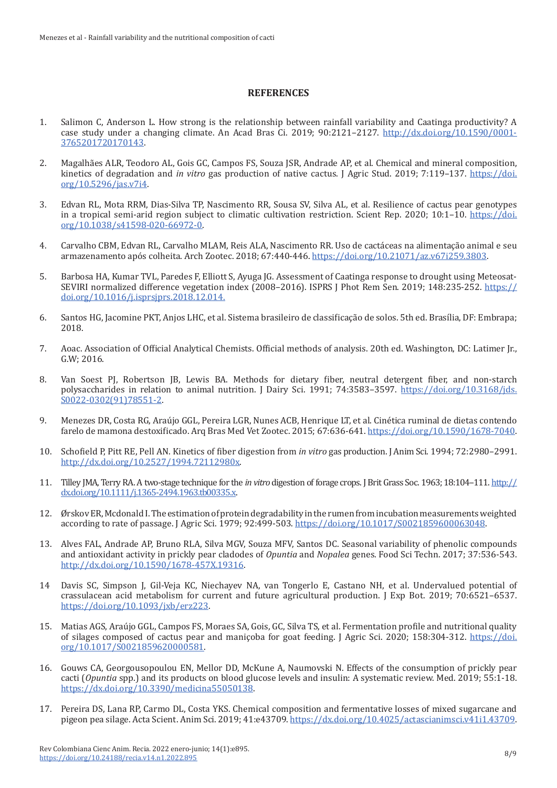## **REFERENCES**

- 1. Salimon C, Anderson L. How strong is the relationship between rainfall variability and Caatinga productivity? A case study under a changing climate. An Acad Bras Ci. 2019; 90:2121-2127. [http://dx.doi.org/10.1590/0001-](http://dx.doi.org/10.1590/0001-3765201720170143) [3765201720170143](http://dx.doi.org/10.1590/0001-3765201720170143).
- 2. Magalhães ALR, Teodoro AL, Gois GC, Campos FS, Souza JSR, Andrade AP, et al. Chemical and mineral composition, kinetics of degradation and *in vitro* gas production of native cactus. J Agric Stud. 2019; 7:119–137. [https://doi.](https://doi.org/10.5296/jas.v7i4) [org/10.5296/jas.v7i4](https://doi.org/10.5296/jas.v7i4).
- 3. Edvan RL, Mota RRM, Dias-Silva TP, Nascimento RR, Sousa SV, Silva AL, et al. Resilience of cactus pear genotypes in a tropical semi-arid region subject to climatic cultivation restriction. Scient Rep. 2020; 10:1–10. [https://doi.](https://doi.org/10.1038/s41598-020-66972-0) [org/10.1038/s41598-020-66972-0](https://doi.org/10.1038/s41598-020-66972-0).
- 4. Carvalho CBM, Edvan RL, Carvalho MLAM, Reis ALA, Nascimento RR. Uso de cactáceas na alimentação animal e seu armazenamento após colheita. Arch Zootec. 2018; 67:440-446. <https://doi.org/10.21071/az.v67i259.3803>.
- 5. Barbosa HA, Kumar TVL, Paredes F, Elliott S, Ayuga JG. Assessment of Caatinga response to drought using Meteosat-SEVIRI normalized difference vegetation index (2008–2016). ISPRS J Phot Rem Sen. 2019; 148:235-252. [https://](https://doi.org/10.1016/j.isprsjprs.2018.12.014) [doi.org/10.1016/j.isprsjprs.2018.12.014](https://doi.org/10.1016/j.isprsjprs.2018.12.014).
- 6. Santos HG, Jacomine PKT, Anjos LHC, et al. Sistema brasileiro de classificação de solos. 5th ed. Brasília, DF: Embrapa; 2018.
- 7. Aoac. Association of Official Analytical Chemists. Official methods of analysis. 20th ed. Washington, DC: Latimer Jr., G.W; 2016.
- 8. Van Soest PJ, Robertson JB, Lewis BA. Methods for dietary fiber, neutral detergent fiber, and non-starch polysaccharides in relation to animal nutrition. J Dairy Sci. 1991; 74:3583–3597. [https://doi.org/10.3168/jds.](https://doi.org/10.3168/jds.S0022-0302(91)78551-2) [S0022-0302\(91\)78551-2](https://doi.org/10.3168/jds.S0022-0302(91)78551-2).
- 9. Menezes DR, Costa RG, Araújo GGL, Pereira LGR, Nunes ACB, Henrique LT, et al. Cinética ruminal de dietas contendo farelo de mamona destoxificado. Arq Bras Med Vet Zootec. 2015; 67:636-641.<https://doi.org/10.1590/1678-7040>.
- 10. Schofield P, Pitt RE, Pell AN. Kinetics of fiber digestion from *in vitro* gas production. J Anim Sci. 1994; 72:2980–2991. <http://dx.doi.org/10.2527/1994.72112980x>.
- 11. Tilley JMA, Terry RA. A two-stage technique for the *in vitro* digestion of forage crops. J Brit Grass Soc. 1963; 18:104–111. [http://](http://dx.doi.org/10.1111/j.1365-2494.1963.tb00335.x) [dx.doi.org/10.1111/j.1365-2494.1963.tb00335.x](http://dx.doi.org/10.1111/j.1365-2494.1963.tb00335.x).
- 12. Ørskov ER, Mcdonald I. The estimation of protein degradability in the rumen from incubation measurements weighted according to rate of passage. J Agric Sci. 1979; 92:499-503. <https://doi.org/10.1017/S0021859600063048>.
- 13. Alves FAL, Andrade AP, Bruno RLA, Silva MGV, Souza MFV, Santos DC. Seasonal variability of phenolic compounds and antioxidant activity in prickly pear cladodes of *Opuntia* and *Nopalea* genes. Food Sci Techn. 2017; 37:536-543. http://dx.doi.org/10.1590/1678-457X.19316.
- 14 Davis SC, Simpson J, Gil-Veja KC, Niechayev NA, van Tongerlo E, Castano NH, et al. Undervalued potential of crassulacean acid metabolism for current and future agricultural production. J Exp Bot. 2019; 70:6521–6537. https://doi.org/10.1093/jxb/erz223.
- 15. Matias AGS, Araújo GGL, Campos FS, Moraes SA, Gois, GC, Silva TS, et al. Fermentation profile and nutritional quality of silages composed of cactus pear and maniçoba for goat feeding. J Agric Sci. 2020; 158:304-312. [https://doi.](https://doi.org/10.1017/S0021859620000581) [org/10.1017/S0021859620000581](https://doi.org/10.1017/S0021859620000581).
- 16. Gouws CA, Georgousopoulou EN, Mellor DD, McKune A, Naumovski N. Effects of the consumption of prickly pear cacti (*Opuntia* spp.) and its products on blood glucose levels and insulin: A systematic review. Med. 2019; 55:1-18. <https://dx.doi.org/10.3390/medicina55050138>.
- 17. Pereira DS, Lana RP, Carmo DL, Costa YKS. Chemical composition and fermentative losses of mixed sugarcane and pigeon pea silage. Acta Scient. Anim Sci. 2019; 41:e43709.<https://dx.doi.org/10.4025/actascianimsci.v41i1.43709>.